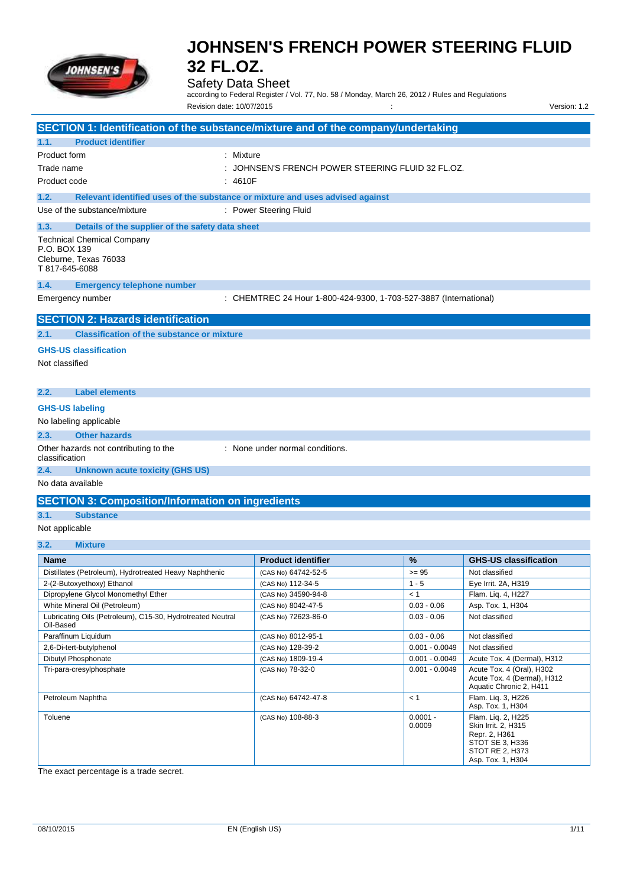

## Safety Data Sheet

according to Federal Register / Vol. 77, No. 58 / Monday, March 26, 2012 / Rules and Regulations Revision date: 10/07/2015 : Version: 1.2

| SECTION 1: Identification of the substance/mixture and of the company/undertaking            |                                                                   |                      |                                                                                     |
|----------------------------------------------------------------------------------------------|-------------------------------------------------------------------|----------------------|-------------------------------------------------------------------------------------|
| 1.1.<br><b>Product identifier</b>                                                            |                                                                   |                      |                                                                                     |
| Product form<br>: Mixture                                                                    |                                                                   |                      |                                                                                     |
| Trade name                                                                                   | : JOHNSEN'S FRENCH POWER STEERING FLUID 32 FL.OZ.                 |                      |                                                                                     |
| Product code<br>: 4610F                                                                      |                                                                   |                      |                                                                                     |
| 1.2.<br>Relevant identified uses of the substance or mixture and uses advised against        |                                                                   |                      |                                                                                     |
| Use of the substance/mixture                                                                 | : Power Steering Fluid                                            |                      |                                                                                     |
|                                                                                              |                                                                   |                      |                                                                                     |
| 1.3.<br>Details of the supplier of the safety data sheet                                     |                                                                   |                      |                                                                                     |
| <b>Technical Chemical Company</b><br>P.O. BOX 139<br>Cleburne, Texas 76033<br>T 817-645-6088 |                                                                   |                      |                                                                                     |
| 1.4.<br><b>Emergency telephone number</b>                                                    |                                                                   |                      |                                                                                     |
| Emergency number                                                                             | : CHEMTREC 24 Hour 1-800-424-9300, 1-703-527-3887 (International) |                      |                                                                                     |
| <b>SECTION 2: Hazards identification</b>                                                     |                                                                   |                      |                                                                                     |
| 2.1.<br><b>Classification of the substance or mixture</b>                                    |                                                                   |                      |                                                                                     |
| <b>GHS-US classification</b><br>Not classified                                               |                                                                   |                      |                                                                                     |
|                                                                                              |                                                                   |                      |                                                                                     |
| 2.2.<br><b>Label elements</b>                                                                |                                                                   |                      |                                                                                     |
| <b>GHS-US labeling</b>                                                                       |                                                                   |                      |                                                                                     |
| No labeling applicable                                                                       |                                                                   |                      |                                                                                     |
| 2.3.<br><b>Other hazards</b>                                                                 |                                                                   |                      |                                                                                     |
| Other hazards not contributing to the<br>: None under normal conditions.<br>classification   |                                                                   |                      |                                                                                     |
| 2.4.<br><b>Unknown acute toxicity (GHS US)</b>                                               |                                                                   |                      |                                                                                     |
| No data available                                                                            |                                                                   |                      |                                                                                     |
| <b>SECTION 3: Composition/Information on ingredients</b>                                     |                                                                   |                      |                                                                                     |
| 3.1.<br><b>Substance</b>                                                                     |                                                                   |                      |                                                                                     |
| Not applicable                                                                               |                                                                   |                      |                                                                                     |
| 3.2.<br><b>Mixture</b>                                                                       |                                                                   |                      |                                                                                     |
| <b>Name</b>                                                                                  | <b>Product identifier</b>                                         | %                    | <b>GHS-US classification</b>                                                        |
| Distillates (Petroleum), Hydrotreated Heavy Naphthenic                                       | (CAS No) 64742-52-5                                               | $>= 95$              | Not classified                                                                      |
| 2-(2-Butoxyethoxy) Ethanol                                                                   | (CAS No) 112-34-5                                                 | $1 - 5$              | Eye Irrit. 2A, H319                                                                 |
| Dipropylene Glycol Monomethyl Ether                                                          | (CAS No) 34590-94-8                                               | < 1                  | Flam. Liq. 4, H227                                                                  |
| White Mineral Oil (Petroleum)                                                                | (CAS No) 8042-47-5                                                | $0.03 - 0.06$        | Asp. Tox. 1, H304                                                                   |
| Lubricating Oils (Petroleum), C15-30, Hydrotreated Neutral<br>Oil-Based                      | (CAS No) 72623-86-0                                               | $0.03 - 0.06$        | Not classified                                                                      |
| Paraffinum Liquidum                                                                          | (CAS No) 8012-95-1                                                | $0.03 - 0.06$        | Not classified                                                                      |
| 2,6-Di-tert-butylphenol                                                                      | (CAS No) 128-39-2                                                 | $0.001 - 0.0049$     | Not classified                                                                      |
| Dibutyl Phosphonate                                                                          | (CAS No) 1809-19-4                                                | $0.001 - 0.0049$     | Acute Tox. 4 (Dermal), H312                                                         |
| Tri-para-cresylphosphate                                                                     | (CAS No) 78-32-0                                                  | $0.001 - 0.0049$     | Acute Tox. 4 (Oral), H302<br>Acute Tox. 4 (Dermal), H312<br>Aquatic Chronic 2, H411 |
| Petroleum Naphtha                                                                            | (CAS No) 64742-47-8                                               | < 1                  | Flam. Liq. 3, H226<br>Asp. Tox. 1, H304                                             |
| Toluene                                                                                      | (CAS No) 108-88-3                                                 | $0.0001 -$<br>0.0009 | Flam. Liq. 2, H225<br>Skin Irrit. 2, H315<br>Repr. 2, H361                          |

The exact percentage is a trade secret.

STOT SE 3, H336 STOT RE 2, H373 Asp. Tox. 1, H304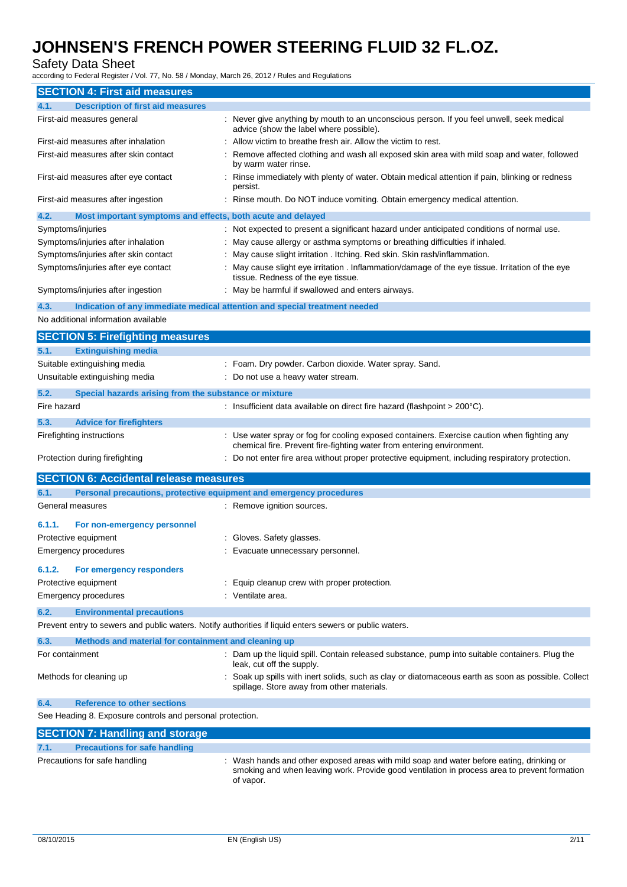### Safety Data Sheet

according to Federal Register / Vol. 77, No. 58 / Monday, March 26, 2012 / Rules and Regulations

| <b>SECTION 4: First aid measures</b>                                        |                                                                                                                                                                                                       |
|-----------------------------------------------------------------------------|-------------------------------------------------------------------------------------------------------------------------------------------------------------------------------------------------------|
| <b>Description of first aid measures</b><br>4.1.                            |                                                                                                                                                                                                       |
| First-aid measures general                                                  | : Never give anything by mouth to an unconscious person. If you feel unwell, seek medical<br>advice (show the label where possible).                                                                  |
| First-aid measures after inhalation                                         | : Allow victim to breathe fresh air. Allow the victim to rest.                                                                                                                                        |
| First-aid measures after skin contact                                       | Remove affected clothing and wash all exposed skin area with mild soap and water, followed<br>by warm water rinse.                                                                                    |
| First-aid measures after eye contact                                        | : Rinse immediately with plenty of water. Obtain medical attention if pain, blinking or redness<br>persist.                                                                                           |
| First-aid measures after ingestion                                          | Rinse mouth. Do NOT induce vomiting. Obtain emergency medical attention.                                                                                                                              |
| 4.2.<br>Most important symptoms and effects, both acute and delayed         |                                                                                                                                                                                                       |
| Symptoms/injuries                                                           | : Not expected to present a significant hazard under anticipated conditions of normal use.                                                                                                            |
| Symptoms/injuries after inhalation                                          | : May cause allergy or asthma symptoms or breathing difficulties if inhaled.                                                                                                                          |
| Symptoms/injuries after skin contact                                        | : May cause slight irritation . Itching. Red skin. Skin rash/inflammation.                                                                                                                            |
| Symptoms/injuries after eye contact                                         | : May cause slight eye irritation . Inflammation/damage of the eye tissue. Irritation of the eye<br>tissue. Redness of the eye tissue.                                                                |
| Symptoms/injuries after ingestion                                           | : May be harmful if swallowed and enters airways.                                                                                                                                                     |
| 4.3.                                                                        | Indication of any immediate medical attention and special treatment needed                                                                                                                            |
| No additional information available                                         |                                                                                                                                                                                                       |
| <b>SECTION 5: Firefighting measures</b>                                     |                                                                                                                                                                                                       |
| 5.1.<br><b>Extinguishing media</b>                                          |                                                                                                                                                                                                       |
| Suitable extinguishing media                                                | : Foam. Dry powder. Carbon dioxide. Water spray. Sand.                                                                                                                                                |
| Unsuitable extinguishing media                                              | Do not use a heavy water stream.                                                                                                                                                                      |
| 5.2.<br>Special hazards arising from the substance or mixture               |                                                                                                                                                                                                       |
| Fire hazard                                                                 | : Insufficient data available on direct fire hazard (flashpoint $> 200^{\circ}$ C).                                                                                                                   |
|                                                                             |                                                                                                                                                                                                       |
| 5.3.<br><b>Advice for firefighters</b>                                      |                                                                                                                                                                                                       |
| Firefighting instructions                                                   | : Use water spray or fog for cooling exposed containers. Exercise caution when fighting any<br>chemical fire. Prevent fire-fighting water from entering environment.                                  |
| Protection during firefighting                                              | : Do not enter fire area without proper protective equipment, including respiratory protection.                                                                                                       |
| <b>SECTION 6: Accidental release measures</b>                               |                                                                                                                                                                                                       |
| 6.1.<br>Personal precautions, protective equipment and emergency procedures |                                                                                                                                                                                                       |
| General measures                                                            | : Remove ignition sources.                                                                                                                                                                            |
| 6.1.1.<br>For non-emergency personnel                                       |                                                                                                                                                                                                       |
| Protective equipment                                                        | Gloves. Safety glasses.                                                                                                                                                                               |
| <b>Emergency procedures</b>                                                 | : Evacuate unnecessary personnel.                                                                                                                                                                     |
|                                                                             |                                                                                                                                                                                                       |
| 6.1.2.<br>For emergency responders                                          |                                                                                                                                                                                                       |
| Protective equipment                                                        | : Equip cleanup crew with proper protection.                                                                                                                                                          |
| <b>Emergency procedures</b>                                                 | : Ventilate area.                                                                                                                                                                                     |
| 6.2.<br><b>Environmental precautions</b>                                    |                                                                                                                                                                                                       |
|                                                                             | Prevent entry to sewers and public waters. Notify authorities if liquid enters sewers or public waters.                                                                                               |
| 6.3.<br>Methods and material for containment and cleaning up                |                                                                                                                                                                                                       |
| For containment                                                             | : Dam up the liquid spill. Contain released substance, pump into suitable containers. Plug the<br>leak, cut off the supply.                                                                           |
| Methods for cleaning up                                                     | : Soak up spills with inert solids, such as clay or diatomaceous earth as soon as possible. Collect<br>spillage. Store away from other materials.                                                     |
| <b>Reference to other sections</b><br>6.4.                                  |                                                                                                                                                                                                       |
| See Heading 8. Exposure controls and personal protection.                   |                                                                                                                                                                                                       |
| <b>SECTION 7: Handling and storage</b>                                      |                                                                                                                                                                                                       |
| <b>Precautions for safe handling</b><br>7.1.                                |                                                                                                                                                                                                       |
| Precautions for safe handling                                               | : Wash hands and other exposed areas with mild soap and water before eating, drinking or<br>smoking and when leaving work. Provide good ventilation in process area to prevent formation<br>of vapor. |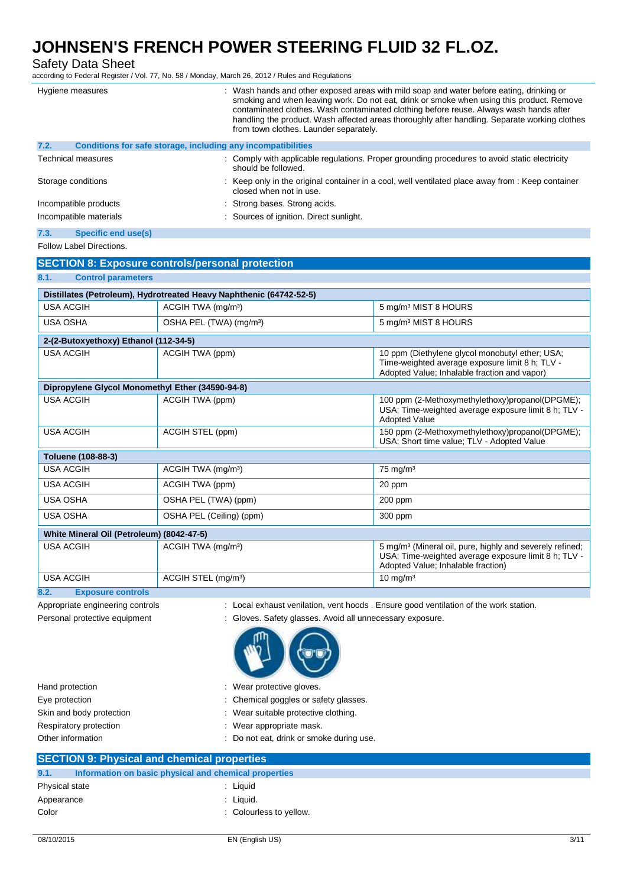|                                                                     |                                                                         | according to Federal Register / Vol. 77, No. 58 / Monday, March 26, 2012 / Rules and Regulations |                                                                                                                                                                                                                                                                                                                                                                                |
|---------------------------------------------------------------------|-------------------------------------------------------------------------|--------------------------------------------------------------------------------------------------|--------------------------------------------------------------------------------------------------------------------------------------------------------------------------------------------------------------------------------------------------------------------------------------------------------------------------------------------------------------------------------|
| Hygiene measures                                                    |                                                                         | from town clothes. Launder separately.                                                           | Wash hands and other exposed areas with mild soap and water before eating, drinking or<br>smoking and when leaving work. Do not eat, drink or smoke when using this product. Remove<br>contaminated clothes. Wash contaminated clothing before reuse. Always wash hands after<br>handling the product. Wash affected areas thoroughly after handling. Separate working clothes |
| 7.2.                                                                |                                                                         | Conditions for safe storage, including any incompatibilities                                     |                                                                                                                                                                                                                                                                                                                                                                                |
| <b>Technical measures</b>                                           |                                                                         | should be followed.                                                                              | : Comply with applicable regulations. Proper grounding procedures to avoid static electricity                                                                                                                                                                                                                                                                                  |
| Storage conditions                                                  |                                                                         | closed when not in use.                                                                          | Keep only in the original container in a cool, well ventilated place away from : Keep container                                                                                                                                                                                                                                                                                |
| Incompatible products                                               |                                                                         | Strong bases. Strong acids.                                                                      |                                                                                                                                                                                                                                                                                                                                                                                |
| Incompatible materials                                              |                                                                         | Sources of ignition. Direct sunlight.                                                            |                                                                                                                                                                                                                                                                                                                                                                                |
| 7.3.<br><b>Specific end use(s)</b>                                  |                                                                         |                                                                                                  |                                                                                                                                                                                                                                                                                                                                                                                |
| Follow Label Directions.                                            |                                                                         |                                                                                                  |                                                                                                                                                                                                                                                                                                                                                                                |
| <b>SECTION 8: Exposure controls/personal protection</b>             |                                                                         |                                                                                                  |                                                                                                                                                                                                                                                                                                                                                                                |
| 8.1.<br><b>Control parameters</b>                                   |                                                                         |                                                                                                  |                                                                                                                                                                                                                                                                                                                                                                                |
| Distillates (Petroleum), Hydrotreated Heavy Naphthenic (64742-52-5) |                                                                         |                                                                                                  |                                                                                                                                                                                                                                                                                                                                                                                |
| <b>USA ACGIH</b>                                                    | ACGIH TWA (mg/m <sup>3</sup> )                                          |                                                                                                  | 5 mg/m <sup>3</sup> MIST 8 HOURS                                                                                                                                                                                                                                                                                                                                               |
| <b>USA OSHA</b>                                                     |                                                                         |                                                                                                  |                                                                                                                                                                                                                                                                                                                                                                                |
|                                                                     | OSHA PEL (TWA) (mg/m <sup>3</sup> )<br>5 mg/m <sup>3</sup> MIST 8 HOURS |                                                                                                  |                                                                                                                                                                                                                                                                                                                                                                                |
| 2-(2-Butoxyethoxy) Ethanol (112-34-5)                               |                                                                         |                                                                                                  |                                                                                                                                                                                                                                                                                                                                                                                |
| <b>USA ACGIH</b>                                                    | ACGIH TWA (ppm)                                                         |                                                                                                  | 10 ppm (Diethylene glycol monobutyl ether; USA;<br>Time-weighted average exposure limit 8 h; TLV -<br>Adopted Value; Inhalable fraction and vapor)                                                                                                                                                                                                                             |
| Dipropylene Glycol Monomethyl Ether (34590-94-8)                    |                                                                         |                                                                                                  |                                                                                                                                                                                                                                                                                                                                                                                |
| <b>USA ACGIH</b>                                                    | ACGIH TWA (ppm)                                                         |                                                                                                  | 100 ppm (2-Methoxymethylethoxy)propanol(DPGME);<br>USA, Time-weighted average exposure limit 8 h, TLV -<br><b>Adopted Value</b>                                                                                                                                                                                                                                                |
| <b>USA ACGIH</b>                                                    | ACGIH STEL (ppm)                                                        |                                                                                                  | 150 ppm (2-Methoxymethylethoxy)propanol(DPGME);<br>USA: Short time value; TLV - Adopted Value                                                                                                                                                                                                                                                                                  |
| Toluene (108-88-3)                                                  |                                                                         |                                                                                                  |                                                                                                                                                                                                                                                                                                                                                                                |
| <b>USA ACGIH</b>                                                    | ACGIH TWA (mg/m <sup>3</sup> )                                          |                                                                                                  | $75 \text{ mg/m}^3$                                                                                                                                                                                                                                                                                                                                                            |
| <b>USA ACGIH</b>                                                    | ACGIH TWA (ppm)                                                         |                                                                                                  | 20 ppm                                                                                                                                                                                                                                                                                                                                                                         |
| <b>USA OSHA</b>                                                     | OSHA PEL (TWA) (ppm)                                                    |                                                                                                  | $200$ ppm                                                                                                                                                                                                                                                                                                                                                                      |
| <b>USA OSHA</b>                                                     | OSHA PEL (Ceiling) (ppm)                                                |                                                                                                  | 300 ppm                                                                                                                                                                                                                                                                                                                                                                        |
| White Mineral Oil (Petroleum) (8042-47-5)                           |                                                                         |                                                                                                  |                                                                                                                                                                                                                                                                                                                                                                                |

| White Mineral Oil (Petroleum) (8042-47-5) |                                 |                                                                                                                                                                    |  |
|-------------------------------------------|---------------------------------|--------------------------------------------------------------------------------------------------------------------------------------------------------------------|--|
| USA ACGIH                                 | ACGIH TWA (mg/m <sup>3</sup> )  | 5 mg/m <sup>3</sup> (Mineral oil, pure, highly and severely refined;<br>USA; Time-weighted average exposure limit 8 h; TLV -<br>Adopted Value; Inhalable fraction) |  |
| USA ACGIH                                 | ACGIH STEL (mg/m <sup>3</sup> ) | $10 \text{ mg/m}^3$                                                                                                                                                |  |

**8.2. Exposure controls**

Appropriate engineering controls : Local exhaust venilation, vent hoods . Ensure good ventilation of the work station.

Personal protective equipment : Gloves. Safety glasses. Avoid all unnecessary exposure.



| : Wear protective gloves.<br>Hand protection |                                          |
|----------------------------------------------|------------------------------------------|
| Eye protection                               | : Chemical goggles or safety glasses.    |
| Skin and body protection                     | : Wear suitable protective clothing.     |
| Respiratory protection                       | : Wear appropriate mask.                 |
| Other information                            | : Do not eat, drink or smoke during use. |

| <b>SECTION 9: Physical and chemical properties</b> |                                                       |                         |  |
|----------------------------------------------------|-------------------------------------------------------|-------------------------|--|
|                                                    |                                                       |                         |  |
| 9.1.                                               | Information on basic physical and chemical properties |                         |  |
| Physical state                                     |                                                       | : Liauid                |  |
|                                                    |                                                       |                         |  |
| Appearance                                         |                                                       | : Liquid.               |  |
| Color                                              |                                                       | : Colourless to yellow. |  |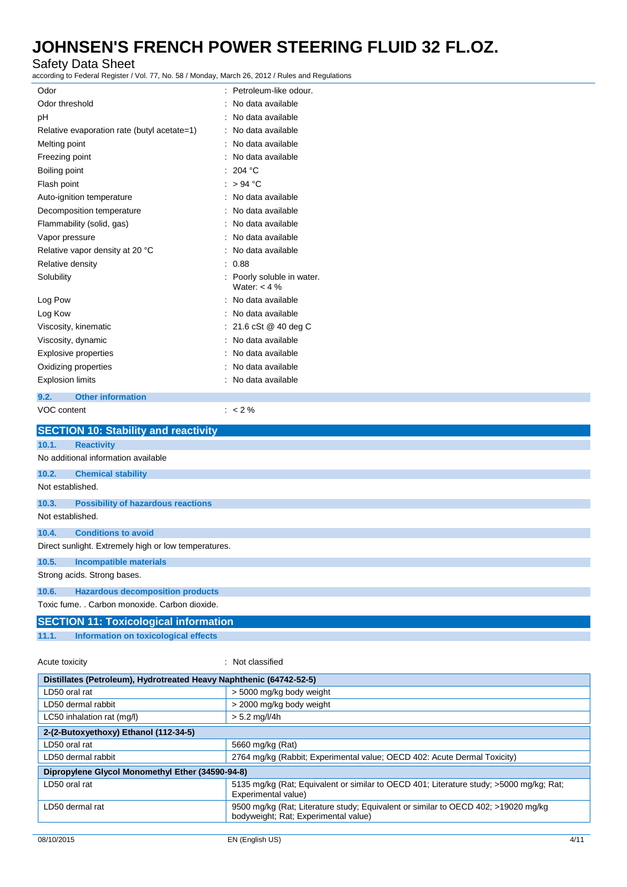# Safety Data Sheet<br>according to Federal Register / V

according to Federal Register / Vol. 77, No. 58 / Monday, March 26, 2012 / Rules and Regulations

| ccording to Federal Register / Vol. 77, No. 58 / Monday, March 26, 2012 / Rules and Regulations |                                              |  |
|-------------------------------------------------------------------------------------------------|----------------------------------------------|--|
| Odor                                                                                            | : Petroleum-like odour.                      |  |
| Odor threshold                                                                                  | No data available                            |  |
| рH                                                                                              | No data available                            |  |
| Relative evaporation rate (butyl acetate=1)                                                     | No data available                            |  |
| Melting point                                                                                   | No data available                            |  |
| Freezing point                                                                                  | No data available                            |  |
| Boiling point                                                                                   | 204 °C                                       |  |
| Flash point                                                                                     | > 94 °C                                      |  |
| Auto-ignition temperature                                                                       | No data available                            |  |
| Decomposition temperature                                                                       | No data available                            |  |
| Flammability (solid, gas)                                                                       | No data available                            |  |
| Vapor pressure                                                                                  | No data available                            |  |
| Relative vapor density at 20 °C                                                                 | No data available                            |  |
| Relative density                                                                                | 0.88                                         |  |
| Solubility                                                                                      | : Poorly soluble in water.<br>Water: $<$ 4 % |  |
| Log Pow                                                                                         | : No data available                          |  |
| Log Kow                                                                                         | No data available                            |  |
| Viscosity, kinematic                                                                            | : 21.6 cSt @ 40 deg C                        |  |
| Viscosity, dynamic                                                                              | No data available                            |  |
| <b>Explosive properties</b>                                                                     | No data available                            |  |
| Oxidizing properties                                                                            | No data available                            |  |
| <b>Explosion limits</b>                                                                         | : No data available                          |  |
| 9.2.<br><b>Other information</b>                                                                |                                              |  |
| VOC content                                                                                     | $: 2\%$                                      |  |
| <b>SECTION 10: Stability and reactivity</b>                                                     |                                              |  |
| 10.1.<br><b>Reactivity</b>                                                                      |                                              |  |
| No additional information available                                                             |                                              |  |
| 10.2.<br><b>Chemical stability</b>                                                              |                                              |  |
| Not established.                                                                                |                                              |  |
| 10.3.<br><b>Possibility of hazardous reactions</b>                                              |                                              |  |
| Not established.                                                                                |                                              |  |
| <b>Conditions to avoid</b><br>10.4.                                                             |                                              |  |
| Direct sunlight. Extremely high or low temperatures.                                            |                                              |  |
| <b>Incompatible materials</b><br>10.5.                                                          |                                              |  |
| Strong acids. Strong bases.                                                                     |                                              |  |
| <b>Hazardous decomposition products</b><br>10.6.                                                |                                              |  |
| Toxic fume. . Carbon monoxide. Carbon dioxide.                                                  |                                              |  |
| <b>SECTION 11: Toxicological information</b>                                                    |                                              |  |
| <b>Information on toxicological effects</b><br>11.1.                                            |                                              |  |
|                                                                                                 |                                              |  |
| Acute toxicity                                                                                  | : Not classified                             |  |
| Distillates (Petroleum), Hydrotreated Heavy Naphthenic (64742-52-5)                             |                                              |  |
| LD50 oral rat                                                                                   | > 5000 mg/kg body weight                     |  |
| LD50 dermal rabbit                                                                              | > 2000 mg/kg body weight                     |  |
| LC50 inhalation rat (mg/l)                                                                      | $> 5.2$ mg/l/4h                              |  |

| 2-(2-Butoxyethoxy) Ethanol (112-34-5)            |                                                                                                                            |  |
|--------------------------------------------------|----------------------------------------------------------------------------------------------------------------------------|--|
| LD50 oral rat                                    | 5660 mg/kg (Rat)                                                                                                           |  |
| LD50 dermal rabbit                               | 2764 mg/kg (Rabbit; Experimental value; OECD 402: Acute Dermal Toxicity)                                                   |  |
| Dipropylene Glycol Monomethyl Ether (34590-94-8) |                                                                                                                            |  |
| LD50 oral rat                                    | 5135 mg/kg (Rat; Equivalent or similar to OECD 401; Literature study; >5000 mg/kg; Rat;<br>Experimental value)             |  |
| LD50 dermal rat                                  | 9500 mg/kg (Rat; Literature study; Equivalent or similar to OECD 402; >19020 mg/kg<br>bodyweight; Rat; Experimental value) |  |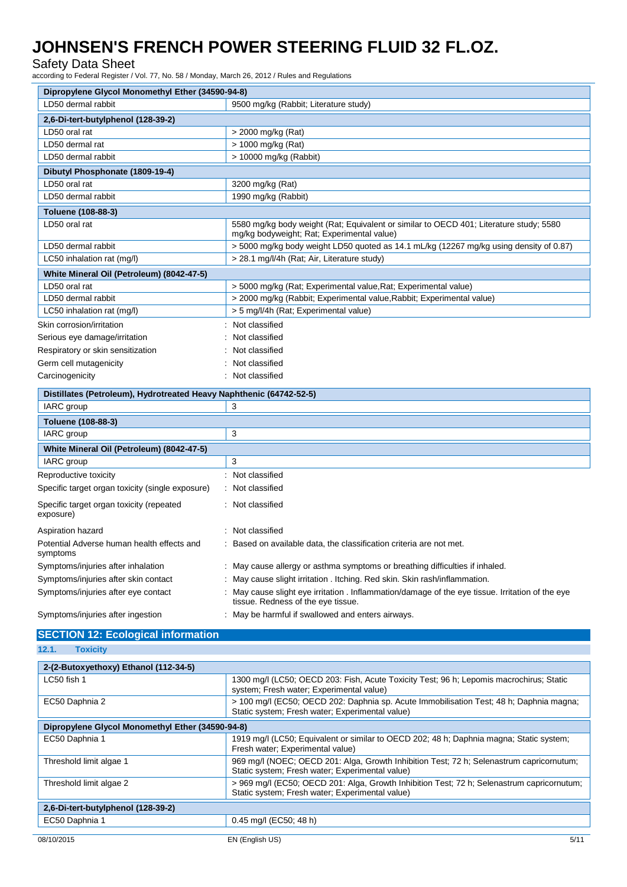Safety Data Sheet

according to Federal Register / Vol. 77, No. 58 / Monday, March 26, 2012 / Rules and Regulations

| Dipropylene Glycol Monomethyl Ether (34590-94-8)                    |                                                                                                                                      |  |
|---------------------------------------------------------------------|--------------------------------------------------------------------------------------------------------------------------------------|--|
| LD50 dermal rabbit                                                  | 9500 mg/kg (Rabbit; Literature study)                                                                                                |  |
| 2,6-Di-tert-butylphenol (128-39-2)                                  |                                                                                                                                      |  |
| LD50 oral rat                                                       | > 2000 mg/kg (Rat)                                                                                                                   |  |
| LD50 dermal rat                                                     | > 1000 mg/kg (Rat)                                                                                                                   |  |
| LD50 dermal rabbit                                                  | > 10000 mg/kg (Rabbit)                                                                                                               |  |
| Dibutyl Phosphonate (1809-19-4)                                     |                                                                                                                                      |  |
| LD50 oral rat                                                       | 3200 mg/kg (Rat)                                                                                                                     |  |
| LD50 dermal rabbit                                                  | 1990 mg/kg (Rabbit)                                                                                                                  |  |
| Toluene (108-88-3)                                                  |                                                                                                                                      |  |
| LD50 oral rat                                                       | 5580 mg/kg body weight (Rat; Equivalent or similar to OECD 401; Literature study; 5580<br>mg/kg bodyweight; Rat; Experimental value) |  |
| LD50 dermal rabbit                                                  | $>$ 5000 mg/kg body weight LD50 quoted as 14.1 mL/kg (12267 mg/kg using density of 0.87)                                             |  |
| LC50 inhalation rat (mg/l)                                          | > 28.1 mg/l/4h (Rat; Air, Literature study)                                                                                          |  |
| White Mineral Oil (Petroleum) (8042-47-5)                           |                                                                                                                                      |  |
| LD50 oral rat                                                       | > 5000 mg/kg (Rat; Experimental value, Rat; Experimental value)                                                                      |  |
| LD50 dermal rabbit                                                  | > 2000 mg/kg (Rabbit; Experimental value, Rabbit; Experimental value)                                                                |  |
| LC50 inhalation rat (mg/l)                                          | > 5 mg/l/4h (Rat; Experimental value)                                                                                                |  |
| Skin corrosion/irritation                                           | Not classified                                                                                                                       |  |
| Serious eye damage/irritation                                       | Not classified                                                                                                                       |  |
| Respiratory or skin sensitization                                   | Not classified                                                                                                                       |  |
| Germ cell mutagenicity                                              | Not classified                                                                                                                       |  |
| Carcinogenicity                                                     | Not classified                                                                                                                       |  |
| Distillates (Petroleum), Hydrotreated Heavy Naphthenic (64742-52-5) |                                                                                                                                      |  |
| <b>IARC</b> group                                                   | 3                                                                                                                                    |  |
| Toluene (108-88-3)                                                  |                                                                                                                                      |  |
| IARC group                                                          | 3                                                                                                                                    |  |
| White Mineral Oil (Petroleum) (8042-47-5)                           |                                                                                                                                      |  |
| IARC group                                                          | 3                                                                                                                                    |  |
| Reproductive toxicity                                               | : Not classified                                                                                                                     |  |
| Specific target organ toxicity (single exposure)                    | : Not classified                                                                                                                     |  |
| Specific target organ toxicity (repeated<br>exposure)               | Not classified                                                                                                                       |  |
| Aspiration hazard                                                   | Not classified                                                                                                                       |  |
| Potential Adverse human health effects and<br>symptoms              | Based on available data, the classification criteria are not met.                                                                    |  |
| Symptoms/injuries after inhalation                                  | May cause allergy or asthma symptoms or breathing difficulties if inhaled.                                                           |  |
| Symptoms/injuries after skin contact                                | May cause slight irritation . Itching. Red skin. Skin rash/inflammation.                                                             |  |
| Symptoms/injuries after eye contact                                 | May cause slight eye irritation . Inflammation/damage of the eye tissue. Irritation of the eye<br>tissue. Redness of the eye tissue. |  |
| Symptoms/injuries after ingestion                                   | May be harmful if swallowed and enters airways.                                                                                      |  |

## **SECTION 12: Ecological information**

### **12.1. Toxicity**

| 2-(2-Butoxyethoxy) Ethanol (112-34-5)            |                                                                                                                                               |
|--------------------------------------------------|-----------------------------------------------------------------------------------------------------------------------------------------------|
| LC50 fish 1                                      | 1300 mg/l (LC50; OECD 203: Fish, Acute Toxicity Test; 96 h; Lepomis macrochirus; Static<br>system; Fresh water; Experimental value)           |
| EC50 Daphnia 2                                   | > 100 mg/l (EC50; OECD 202: Daphnia sp. Acute Immobilisation Test; 48 h; Daphnia magna;<br>Static system; Fresh water; Experimental value)    |
| Dipropylene Glycol Monomethyl Ether (34590-94-8) |                                                                                                                                               |
| EC50 Daphnia 1                                   | 1919 mg/l (LC50; Equivalent or similar to OECD 202; 48 h; Daphnia magna; Static system;<br>Fresh water; Experimental value)                   |
| Threshold limit algae 1                          | 969 mg/l (NOEC; OECD 201: Alga, Growth Inhibition Test; 72 h; Selenastrum capricornutum;<br>Static system; Fresh water; Experimental value)   |
| Threshold limit algae 2                          | > 969 mg/l (EC50; OECD 201: Alga, Growth Inhibition Test; 72 h; Selenastrum capricornutum;<br>Static system; Fresh water; Experimental value) |
| 2,6-Di-tert-butylphenol (128-39-2)               |                                                                                                                                               |
| EC50 Daphnia 1                                   | 0.45 mg/l (EC50; 48 h)                                                                                                                        |
| 08/10/2015                                       | 5/11<br>EN (English US)                                                                                                                       |
|                                                  |                                                                                                                                               |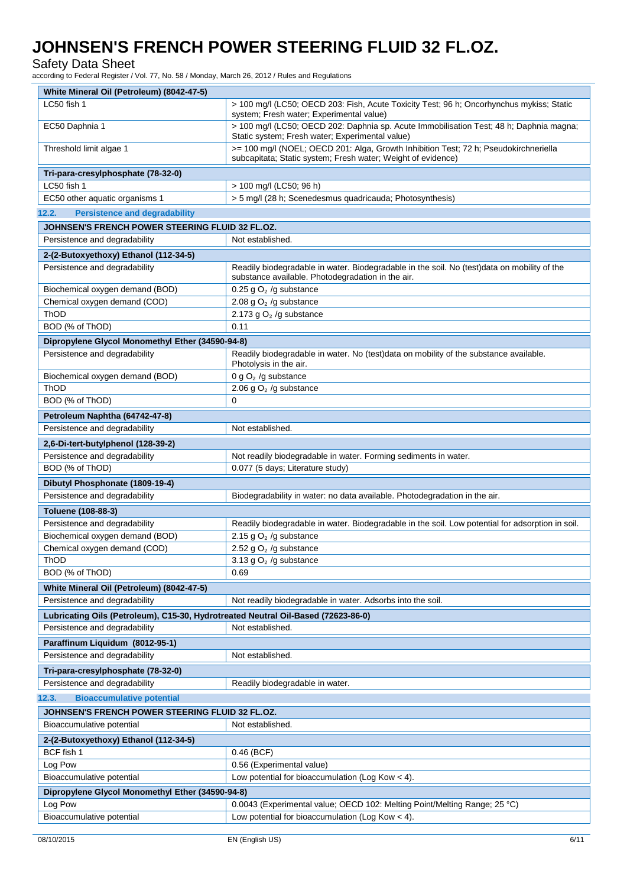### Safety Data Sheet

according to Federal Register / Vol. 77, No. 58 / Monday, March 26, 2012 / Rules and Regulations

| LC50 fish 1                                                                       | > 100 mg/l (LC50; OECD 203: Fish, Acute Toxicity Test; 96 h; Oncorhynchus mykiss; Static<br>system; Fresh water; Experimental value)                 |
|-----------------------------------------------------------------------------------|------------------------------------------------------------------------------------------------------------------------------------------------------|
| EC50 Daphnia 1                                                                    | > 100 mg/l (LC50; OECD 202: Daphnia sp. Acute Immobilisation Test; 48 h; Daphnia magna;<br>Static system; Fresh water; Experimental value)           |
| Threshold limit algae 1                                                           | >= 100 mg/l (NOEL; OECD 201: Alga, Growth Inhibition Test; 72 h; Pseudokirchneriella<br>subcapitata; Static system; Fresh water; Weight of evidence) |
|                                                                                   |                                                                                                                                                      |
| Tri-para-cresylphosphate (78-32-0)                                                |                                                                                                                                                      |
| LC50 fish 1                                                                       | > 100 mg/l (LC50; 96 h)                                                                                                                              |
| EC50 other aquatic organisms 1                                                    | > 5 mg/l (28 h; Scenedesmus quadricauda; Photosynthesis)                                                                                             |
| 12.2.<br><b>Persistence and degradability</b>                                     |                                                                                                                                                      |
| JOHNSEN'S FRENCH POWER STEERING FLUID 32 FL.OZ.                                   |                                                                                                                                                      |
| Persistence and degradability                                                     | Not established.                                                                                                                                     |
| 2-(2-Butoxyethoxy) Ethanol (112-34-5)                                             |                                                                                                                                                      |
| Persistence and degradability                                                     | Readily biodegradable in water. Biodegradable in the soil. No (test)data on mobility of the                                                          |
|                                                                                   | substance available. Photodegradation in the air.                                                                                                    |
| Biochemical oxygen demand (BOD)                                                   | 0.25 g $O2$ /g substance                                                                                                                             |
| Chemical oxygen demand (COD)                                                      | 2.08 g $O2$ /g substance                                                                                                                             |
| <b>ThOD</b>                                                                       | 2.173 g $O2$ /g substance                                                                                                                            |
| BOD (% of ThOD)                                                                   | 0.11                                                                                                                                                 |
|                                                                                   |                                                                                                                                                      |
| Dipropylene Glycol Monomethyl Ether (34590-94-8)                                  |                                                                                                                                                      |
| Persistence and degradability                                                     | Readily biodegradable in water. No (test)data on mobility of the substance available.<br>Photolysis in the air.                                      |
| Biochemical oxygen demand (BOD)                                                   | 0 g $O_2$ /g substance                                                                                                                               |
| ThOD                                                                              | 2.06 g $O2$ /g substance                                                                                                                             |
| BOD (% of ThOD)                                                                   | 0                                                                                                                                                    |
| Petroleum Naphtha (64742-47-8)                                                    |                                                                                                                                                      |
| Persistence and degradability                                                     | Not established.                                                                                                                                     |
| 2,6-Di-tert-butylphenol (128-39-2)                                                |                                                                                                                                                      |
| Persistence and degradability                                                     | Not readily biodegradable in water. Forming sediments in water.                                                                                      |
| BOD (% of ThOD)                                                                   | 0.077 (5 days; Literature study)                                                                                                                     |
| Dibutyl Phosphonate (1809-19-4)                                                   |                                                                                                                                                      |
|                                                                                   |                                                                                                                                                      |
|                                                                                   |                                                                                                                                                      |
| Persistence and degradability                                                     | Biodegradability in water: no data available. Photodegradation in the air.                                                                           |
| Toluene (108-88-3)                                                                |                                                                                                                                                      |
| Persistence and degradability                                                     | Readily biodegradable in water. Biodegradable in the soil. Low potential for adsorption in soil.                                                     |
| Biochemical oxygen demand (BOD)                                                   | 2.15 g $O2$ /g substance                                                                                                                             |
| Chemical oxygen demand (COD)                                                      | 2.52 g $O2$ /g substance                                                                                                                             |
| ThOD                                                                              | 3.13 g $O2$ /g substance                                                                                                                             |
| BOD (% of ThOD)                                                                   | 0.69                                                                                                                                                 |
| White Mineral Oil (Petroleum) (8042-47-5)                                         |                                                                                                                                                      |
| Persistence and degradability                                                     | Not readily biodegradable in water. Adsorbs into the soil.                                                                                           |
| Lubricating Oils (Petroleum), C15-30, Hydrotreated Neutral Oil-Based (72623-86-0) |                                                                                                                                                      |
|                                                                                   | Not established.                                                                                                                                     |
| Persistence and degradability                                                     |                                                                                                                                                      |
| Paraffinum Liquidum (8012-95-1)                                                   |                                                                                                                                                      |
| Persistence and degradability                                                     | Not established.                                                                                                                                     |
| Tri-para-cresylphosphate (78-32-0)                                                |                                                                                                                                                      |
| Persistence and degradability                                                     | Readily biodegradable in water.                                                                                                                      |
| 12.3.<br><b>Bioaccumulative potential</b>                                         |                                                                                                                                                      |
| JOHNSEN'S FRENCH POWER STEERING FLUID 32 FL.OZ.                                   |                                                                                                                                                      |
| Bioaccumulative potential                                                         | Not established.                                                                                                                                     |
| 2-(2-Butoxyethoxy) Ethanol (112-34-5)                                             |                                                                                                                                                      |
|                                                                                   |                                                                                                                                                      |
| BCF fish 1                                                                        | $0.46$ (BCF)                                                                                                                                         |
| Log Pow                                                                           | 0.56 (Experimental value)                                                                                                                            |
| Bioaccumulative potential                                                         | Low potential for bioaccumulation (Log Kow $<$ 4).                                                                                                   |
| Dipropylene Glycol Monomethyl Ether (34590-94-8)                                  |                                                                                                                                                      |
| Log Pow<br>Bioaccumulative potential                                              | 0.0043 (Experimental value; OECD 102: Melting Point/Melting Range; 25 °C)<br>Low potential for bioaccumulation (Log Kow $<$ 4).                      |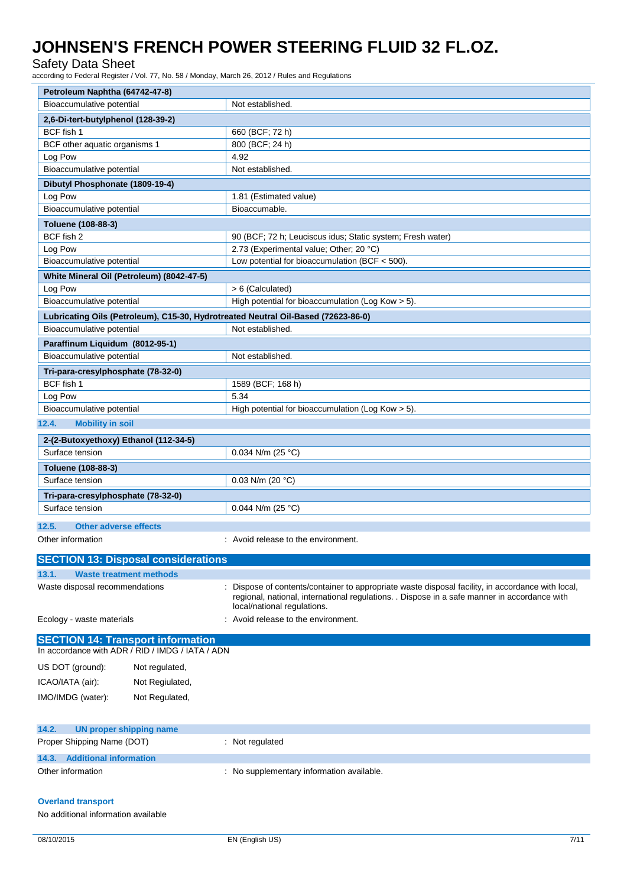Safety Data Sheet

according to Federal Register / Vol. 77, No. 58 / Monday, March 26, 2012 / Rules and Regulations

| Petroleum Naphtha (64742-47-8)                                                                                 |                                                                                                                                                                                                                                |
|----------------------------------------------------------------------------------------------------------------|--------------------------------------------------------------------------------------------------------------------------------------------------------------------------------------------------------------------------------|
| Bioaccumulative potential                                                                                      | Not established.                                                                                                                                                                                                               |
| 2,6-Di-tert-butylphenol (128-39-2)                                                                             |                                                                                                                                                                                                                                |
| BCF fish 1                                                                                                     | 660 (BCF; 72 h)                                                                                                                                                                                                                |
| BCF other aquatic organisms 1                                                                                  | 800 (BCF; 24 h)                                                                                                                                                                                                                |
| Log Pow                                                                                                        | 4.92                                                                                                                                                                                                                           |
| Bioaccumulative potential                                                                                      | Not established.                                                                                                                                                                                                               |
| Dibutyl Phosphonate (1809-19-4)                                                                                |                                                                                                                                                                                                                                |
| Log Pow                                                                                                        | 1.81 (Estimated value)                                                                                                                                                                                                         |
| Bioaccumulative potential                                                                                      | Bioaccumable.                                                                                                                                                                                                                  |
| Toluene (108-88-3)                                                                                             |                                                                                                                                                                                                                                |
| BCF fish 2                                                                                                     | 90 (BCF; 72 h; Leuciscus idus; Static system; Fresh water)                                                                                                                                                                     |
| Log Pow                                                                                                        | 2.73 (Experimental value; Other; 20 °C)                                                                                                                                                                                        |
| Bioaccumulative potential                                                                                      | Low potential for bioaccumulation (BCF < 500).                                                                                                                                                                                 |
| White Mineral Oil (Petroleum) (8042-47-5)                                                                      |                                                                                                                                                                                                                                |
| Log Pow                                                                                                        | > 6 (Calculated)                                                                                                                                                                                                               |
| Bioaccumulative potential                                                                                      | High potential for bioaccumulation (Log Kow > 5).                                                                                                                                                                              |
|                                                                                                                |                                                                                                                                                                                                                                |
| Lubricating Oils (Petroleum), C15-30, Hydrotreated Neutral Oil-Based (72623-86-0)<br>Bioaccumulative potential | Not established.                                                                                                                                                                                                               |
|                                                                                                                |                                                                                                                                                                                                                                |
| Paraffinum Liquidum (8012-95-1)                                                                                |                                                                                                                                                                                                                                |
| Bioaccumulative potential                                                                                      | Not established.                                                                                                                                                                                                               |
| Tri-para-cresylphosphate (78-32-0)                                                                             |                                                                                                                                                                                                                                |
| BCF fish 1                                                                                                     | 1589 (BCF; 168 h)                                                                                                                                                                                                              |
| Log Pow                                                                                                        | 5.34                                                                                                                                                                                                                           |
| Bioaccumulative potential                                                                                      | High potential for bioaccumulation (Log Kow $>$ 5).                                                                                                                                                                            |
| 12.4.<br><b>Mobility in soil</b>                                                                               |                                                                                                                                                                                                                                |
| 2-(2-Butoxyethoxy) Ethanol (112-34-5)                                                                          |                                                                                                                                                                                                                                |
| Surface tension                                                                                                | 0.034 N/m (25 °C)                                                                                                                                                                                                              |
| Toluene (108-88-3)                                                                                             |                                                                                                                                                                                                                                |
| Surface tension                                                                                                | 0.03 N/m (20 $°C$ )                                                                                                                                                                                                            |
|                                                                                                                |                                                                                                                                                                                                                                |
| Tri-para-cresylphosphate (78-32-0)                                                                             |                                                                                                                                                                                                                                |
| Surface tension                                                                                                | 0.044 N/m (25 °C)                                                                                                                                                                                                              |
| 12.5.<br><b>Other adverse effects</b>                                                                          |                                                                                                                                                                                                                                |
| Other information                                                                                              | : Avoid release to the environment.                                                                                                                                                                                            |
|                                                                                                                |                                                                                                                                                                                                                                |
| <b>SECTION 13: Disposal considerations</b>                                                                     |                                                                                                                                                                                                                                |
| 13.1.<br><b>Waste treatment methods</b>                                                                        |                                                                                                                                                                                                                                |
| Waste disposal recommendations                                                                                 | Dispose of contents/container to appropriate waste disposal facility, in accordance with local,<br>regional, national, international regulations. . Dispose in a safe manner in accordance with<br>local/national regulations. |
| Ecology - waste materials                                                                                      | Avoid release to the environment.                                                                                                                                                                                              |
| <b>SECTION 14: Transport information</b>                                                                       |                                                                                                                                                                                                                                |
| In accordance with ADR / RID / IMDG / IATA / ADN                                                               |                                                                                                                                                                                                                                |
| US DOT (ground):<br>Not regulated,                                                                             |                                                                                                                                                                                                                                |
| ICAO/IATA (air):<br>Not Regiulated,                                                                            |                                                                                                                                                                                                                                |
|                                                                                                                |                                                                                                                                                                                                                                |
| IMO/IMDG (water):<br>Not Regulated,                                                                            |                                                                                                                                                                                                                                |
| 14.2.<br><b>UN proper shipping name</b>                                                                        |                                                                                                                                                                                                                                |
| Proper Shipping Name (DOT)                                                                                     | : Not regulated                                                                                                                                                                                                                |

### **Overland transport**

No additional information available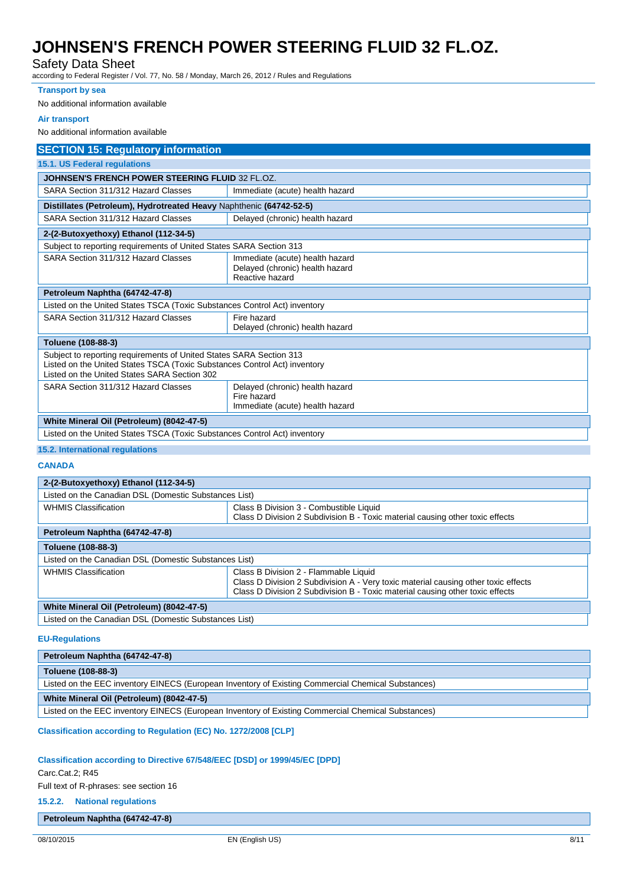### Safety Data Sheet

according to Federal Register / Vol. 77, No. 58 / Monday, March 26, 2012 / Rules and Regulations

### **Transport by sea**

No additional information available

#### **Air transport**

No additional information available

| <b>SECTION 15: Regulatory information</b>                                                                                                                                                        |                                                                                       |  |  |
|--------------------------------------------------------------------------------------------------------------------------------------------------------------------------------------------------|---------------------------------------------------------------------------------------|--|--|
| 15.1. US Federal regulations                                                                                                                                                                     |                                                                                       |  |  |
| <b>JOHNSEN'S FRENCH POWER STEERING FLUID 32 FL.OZ.</b>                                                                                                                                           |                                                                                       |  |  |
| SARA Section 311/312 Hazard Classes                                                                                                                                                              | Immediate (acute) health hazard                                                       |  |  |
| Distillates (Petroleum), Hydrotreated Heavy Naphthenic (64742-52-5)                                                                                                                              |                                                                                       |  |  |
| SARA Section 311/312 Hazard Classes                                                                                                                                                              | Delayed (chronic) health hazard                                                       |  |  |
| 2-(2-Butoxyethoxy) Ethanol (112-34-5)                                                                                                                                                            |                                                                                       |  |  |
| Subject to reporting requirements of United States SARA Section 313                                                                                                                              |                                                                                       |  |  |
| SARA Section 311/312 Hazard Classes                                                                                                                                                              | Immediate (acute) health hazard<br>Delayed (chronic) health hazard<br>Reactive hazard |  |  |
| Petroleum Naphtha (64742-47-8)                                                                                                                                                                   |                                                                                       |  |  |
| Listed on the United States TSCA (Toxic Substances Control Act) inventory                                                                                                                        |                                                                                       |  |  |
| SARA Section 311/312 Hazard Classes                                                                                                                                                              | Fire hazard<br>Delayed (chronic) health hazard                                        |  |  |
| Toluene (108-88-3)                                                                                                                                                                               |                                                                                       |  |  |
| Subject to reporting requirements of United States SARA Section 313<br>Listed on the United States TSCA (Toxic Substances Control Act) inventory<br>Listed on the United States SARA Section 302 |                                                                                       |  |  |
| SARA Section 311/312 Hazard Classes                                                                                                                                                              | Delayed (chronic) health hazard<br>Fire hazard<br>Immediate (acute) health hazard     |  |  |
| White Mineral Oil (Petroleum) (8042-47-5)                                                                                                                                                        |                                                                                       |  |  |
| Listed on the United States TSCA (Toxic Substances Control Act) inventory                                                                                                                        |                                                                                       |  |  |
| 15.2. International regulations                                                                                                                                                                  |                                                                                       |  |  |

### **CANADA**

| 2-(2-Butoxyethoxy) Ethanol (112-34-5)                 |                                                                                    |  |  |
|-------------------------------------------------------|------------------------------------------------------------------------------------|--|--|
| Listed on the Canadian DSL (Domestic Substances List) |                                                                                    |  |  |
| <b>WHMIS Classification</b>                           | Class B Division 3 - Combustible Liquid                                            |  |  |
|                                                       | Class D Division 2 Subdivision B - Toxic material causing other toxic effects      |  |  |
| Petroleum Naphtha (64742-47-8)                        |                                                                                    |  |  |
| Toluene (108-88-3)                                    |                                                                                    |  |  |
| Listed on the Canadian DSL (Domestic Substances List) |                                                                                    |  |  |
| <b>WHMIS Classification</b>                           | Class B Division 2 - Flammable Liquid                                              |  |  |
|                                                       | Class D Division 2 Subdivision A - Very toxic material causing other toxic effects |  |  |
|                                                       | Class D Division 2 Subdivision B - Toxic material causing other toxic effects      |  |  |
| White Mineral Oil (Petroleum) (8042-47-5)             |                                                                                    |  |  |
| Listed on the Canadian DSL (Domestic Substances List) |                                                                                    |  |  |

### **EU-Regulations**

| Petroleum Naphtha (64742-47-8)                                                                     |
|----------------------------------------------------------------------------------------------------|
| Toluene (108-88-3)                                                                                 |
| Listed on the EEC inventory EINECS (European Inventory of Existing Commercial Chemical Substances) |
| White Mineral Oil (Petroleum) (8042-47-5)                                                          |
| Listed on the EEC inventory EINECS (European Inventory of Existing Commercial Chemical Substances) |
|                                                                                                    |

**Classification according to Regulation (EC) No. 1272/2008 [CLP]**

### **Classification according to Directive 67/548/EEC [DSD] or 1999/45/EC [DPD]**

### Carc.Cat.2; R45

Full text of R-phrases: see section 16

### **15.2.2. National regulations**

### **Petroleum Naphtha (64742-47-8)**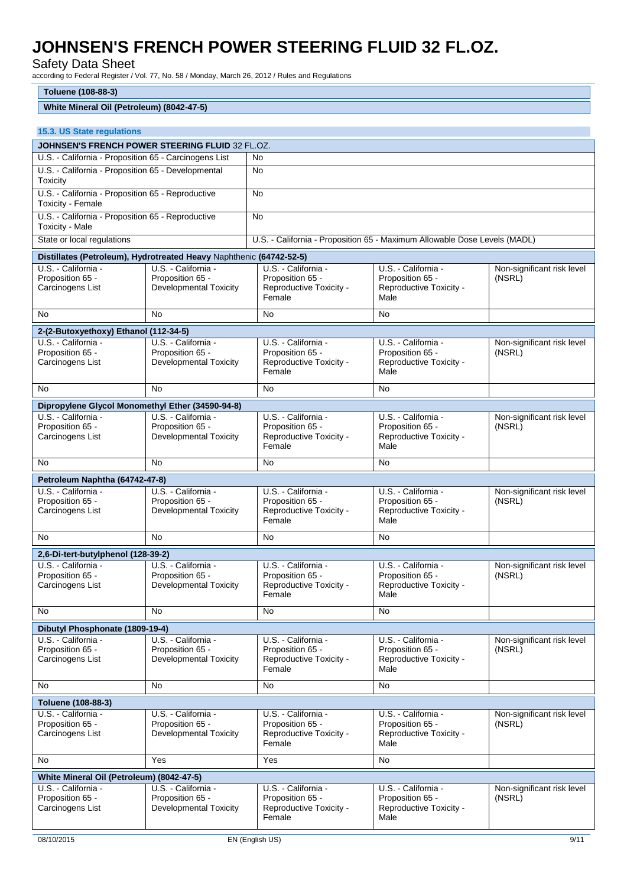Safety Data Sheet

according to Federal Register / Vol. 77, No. 58 / Monday, March 26, 2012 / Rules and Regulations

#### **Toluene (108-88-3) White Mineral Oil (Petroleum) (8042-47-5) 15.3. US State regulations JOHNSEN'S FRENCH POWER STEERING FLUID** 32 FL.OZ. U.S. - California - Proposition 65 - Carcinogens List | No U.S. - California - Proposition 65 - Developmental **Toxicity** No U.S. - California - Proposition 65 - Reproductive Toxicity - Female No U.S. - California - Proposition 65 - Reproductive Toxicity - Male No State or local regulations U.S. - California - Proposition 65 - Maximum Allowable Dose Levels (MADL) **Distillates (Petroleum), Hydrotreated Heavy** Naphthenic **(64742-52-5)** U.S. - California - Proposition 65 - Carcinogens List U.S. - California - Proposition 65 - Developmental Toxicity U.S. - California - Proposition 65 - Reproductive Toxicity - Female U.S. - California - Proposition 65 - Reproductive Toxicity - Male Non-significant risk level (NSRL) No No No No **2-(2-Butoxyethoxy) Ethanol (112-34-5)** U.S. - California Proposition 65 - Carcinogens List U.S. - California - Proposition 65 - Developmental Toxicity U.S. - California - Proposition 65 - Reproductive Toxicity - Female U.S. - California - Proposition 65 - Reproductive Toxicity - Male Non-significant risk level (NSRL) No No No No **Dipropylene Glycol Monomethyl Ether (34590-94-8)** U.S. - California - Proposition 65 - Carcinogens List U.S. - California Proposition 65 - Developmental Toxicity U.S. - California - Proposition 65 - Reproductive Toxicity - Female U.S. - California - Proposition 65 - Reproductive Toxicity - Male Non-significant risk level (NSRL) No No No No **Petroleum Naphtha (64742-47-8)** U.S. - California - Proposition 65 - Carcinogens List U.S. - California - Proposition 65 - Developmental Toxicity U.S. - California - Proposition 65 - Reproductive Toxicity - Female U.S. - California - Proposition 65 - Reproductive Toxicity - Male Non-significant risk level (NSRL) No No No No **2,6-Di-tert-butylphenol (128-39-2)** U.S. - California Proposition 65 - Carcinogens List U.S. - California - Proposition 65 - Developmental Toxicity U.S. - California - Proposition 65 - Reproductive Toxicity - Female U.S. - California - Proposition 65 - Reproductive Toxicity - Male Non-significant risk level (NSRL) No No No No **Dibutyl Phosphonate (1809-19-4)** U.S. - California - Proposition 65 - Carcinogens List U.S. - California - Proposition 65 - Developmental Toxicity U.S. - California - Proposition 65 - Reproductive Toxicity - Female U.S. - California - Proposition 65 - Reproductive Toxicity - Male Non-significant risk level (NSRL) No No No No **Toluene (108-88-3)** U.S. - California - Proposition 65 - U.S. - California - Proposition 65 - U.S. - California - Proposition 65 - U.S. - California - Proposition 65 - Non-significant risk level (NSRL)

| Carcinogens List                                            | Developmental Toxicity                                            | Reproductive Toxicity -<br>Female                                            | Reproductive Toxicity -<br>Male                                            |                                      |
|-------------------------------------------------------------|-------------------------------------------------------------------|------------------------------------------------------------------------------|----------------------------------------------------------------------------|--------------------------------------|
| <b>No</b>                                                   | Yes                                                               | Yes                                                                          | No                                                                         |                                      |
| White Mineral Oil (Petroleum) (8042-47-5)                   |                                                                   |                                                                              |                                                                            |                                      |
| U.S. - California -<br>Proposition 65 -<br>Carcinogens List | U.S. - California -<br>Proposition 65 -<br>Developmental Toxicity | U.S. - California -<br>Proposition 65 -<br>Reproductive Toxicity -<br>Female | U.S. - California -<br>Proposition 65 -<br>Reproductive Toxicity -<br>Male | Non-significant risk level<br>(NSRL) |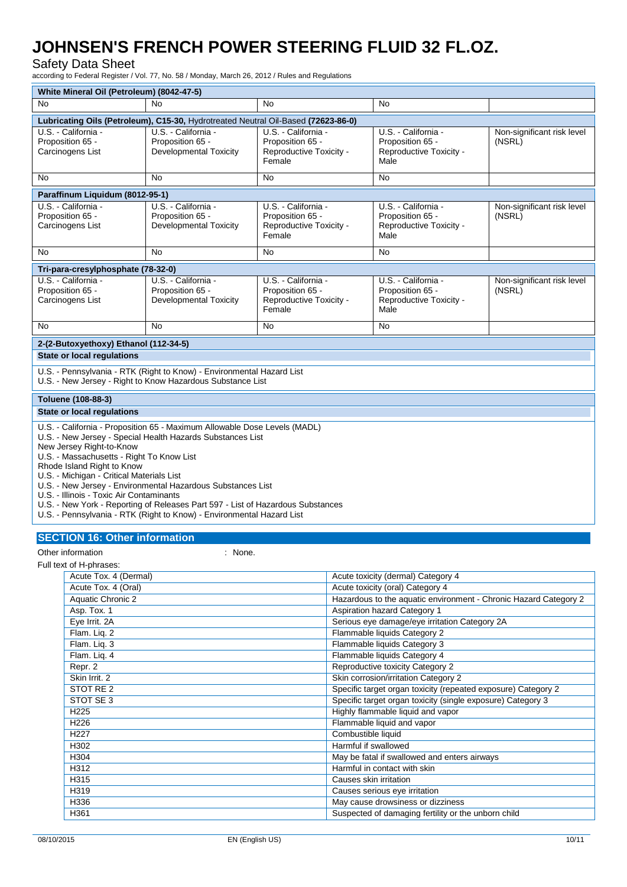### Safety Data Sheet

according to Federal Register / Vol. 77, No. 58 / Monday, March 26, 2012 / Rules and Regulations

| White Mineral Oil (Petroleum) (8042-47-5)                                                                                                                                                                                                                                                                                                                                                                                                                                                                                                                          |                                                                                   |                                                                              |                                                                            |                                      |
|--------------------------------------------------------------------------------------------------------------------------------------------------------------------------------------------------------------------------------------------------------------------------------------------------------------------------------------------------------------------------------------------------------------------------------------------------------------------------------------------------------------------------------------------------------------------|-----------------------------------------------------------------------------------|------------------------------------------------------------------------------|----------------------------------------------------------------------------|--------------------------------------|
| No                                                                                                                                                                                                                                                                                                                                                                                                                                                                                                                                                                 | No                                                                                | <b>No</b>                                                                    | No                                                                         |                                      |
|                                                                                                                                                                                                                                                                                                                                                                                                                                                                                                                                                                    | Lubricating Oils (Petroleum), C15-30, Hydrotreated Neutral Oil-Based (72623-86-0) |                                                                              |                                                                            |                                      |
| U.S. - California -<br>Proposition 65 -<br>Carcinogens List                                                                                                                                                                                                                                                                                                                                                                                                                                                                                                        | U.S. - California -<br>Proposition 65 -<br>Developmental Toxicity                 | U.S. - California -<br>Proposition 65 -<br>Reproductive Toxicity -<br>Female | U.S. - California -<br>Proposition 65 -<br>Reproductive Toxicity -<br>Male | Non-significant risk level<br>(NSRL) |
| No                                                                                                                                                                                                                                                                                                                                                                                                                                                                                                                                                                 | No                                                                                | <b>No</b>                                                                    | <b>No</b>                                                                  |                                      |
| Paraffinum Liquidum (8012-95-1)                                                                                                                                                                                                                                                                                                                                                                                                                                                                                                                                    |                                                                                   |                                                                              |                                                                            |                                      |
| U.S. California -<br>Proposition 65 -<br>Carcinogens List                                                                                                                                                                                                                                                                                                                                                                                                                                                                                                          | U.S. California -<br>Proposition 65 -<br><b>Developmental Toxicity</b>            | U.S. - California -<br>Proposition 65 -<br>Reproductive Toxicity -<br>Female | U.S. California -<br>Proposition 65 -<br>Reproductive Toxicity -<br>Male   | Non-significant risk level<br>(NSRL) |
| No                                                                                                                                                                                                                                                                                                                                                                                                                                                                                                                                                                 | No                                                                                | No                                                                           | No                                                                         |                                      |
| Tri-para-cresylphosphate (78-32-0)                                                                                                                                                                                                                                                                                                                                                                                                                                                                                                                                 |                                                                                   |                                                                              |                                                                            |                                      |
| U.S. - California -<br>Proposition 65 -<br>Carcinogens List                                                                                                                                                                                                                                                                                                                                                                                                                                                                                                        | U.S. California -<br>Proposition 65 -<br><b>Developmental Toxicity</b>            | U.S. - California -<br>Proposition 65 -<br>Reproductive Toxicity -<br>Female | U.S. - California -<br>Proposition 65 -<br>Reproductive Toxicity -<br>Male | Non-significant risk level<br>(NSRL) |
| No                                                                                                                                                                                                                                                                                                                                                                                                                                                                                                                                                                 | <b>No</b>                                                                         | No                                                                           | <b>No</b>                                                                  |                                      |
| 2-(2-Butoxyethoxy) Ethanol (112-34-5)                                                                                                                                                                                                                                                                                                                                                                                                                                                                                                                              |                                                                                   |                                                                              |                                                                            |                                      |
| <b>State or local regulations</b>                                                                                                                                                                                                                                                                                                                                                                                                                                                                                                                                  |                                                                                   |                                                                              |                                                                            |                                      |
| U.S. - Pennsylvania - RTK (Right to Know) - Environmental Hazard List<br>U.S. - New Jersey - Right to Know Hazardous Substance List                                                                                                                                                                                                                                                                                                                                                                                                                                |                                                                                   |                                                                              |                                                                            |                                      |
| Toluene (108-88-3)                                                                                                                                                                                                                                                                                                                                                                                                                                                                                                                                                 |                                                                                   |                                                                              |                                                                            |                                      |
| <b>State or local regulations</b>                                                                                                                                                                                                                                                                                                                                                                                                                                                                                                                                  |                                                                                   |                                                                              |                                                                            |                                      |
| U.S. - California - Proposition 65 - Maximum Allowable Dose Levels (MADL)<br>U.S. - New Jersey - Special Health Hazards Substances List<br>New Jersey Right-to-Know<br>U.S. - Massachusetts - Right To Know List<br>Rhode Island Right to Know<br>U.S. - Michigan - Critical Materials List<br>U.S. - New Jersey - Environmental Hazardous Substances List<br>U.S. - Illinois - Toxic Air Contaminants<br>U.S. - New York - Reporting of Releases Part 597 - List of Hazardous Substances<br>U.S. - Pennsylvania - RTK (Right to Know) - Environmental Hazard List |                                                                                   |                                                                              |                                                                            |                                      |
|                                                                                                                                                                                                                                                                                                                                                                                                                                                                                                                                                                    | <b>SECTION 16: Other information</b>                                              |                                                                              |                                                                            |                                      |

Other information in the set of the set of the set of the set of the set of the set of the set of the set of the set of the set of the set of the set of the set of the set of the set of the set of the set of the set of the

Full text of H-phrases:

| Acute Tox. 4 (Dermal) | Acute toxicity (dermal) Category 4                               |
|-----------------------|------------------------------------------------------------------|
| Acute Tox. 4 (Oral)   | Acute toxicity (oral) Category 4                                 |
| Aquatic Chronic 2     | Hazardous to the aquatic environment - Chronic Hazard Category 2 |
| Asp. Tox. 1           | Aspiration hazard Category 1                                     |
| Eye Irrit. 2A         | Serious eye damage/eye irritation Category 2A                    |
| Flam. Liq. 2          | Flammable liquids Category 2                                     |
| Flam. Liq. 3          | Flammable liquids Category 3                                     |
| Flam. Liq. 4          | Flammable liquids Category 4                                     |
| Repr. 2               | Reproductive toxicity Category 2                                 |
| Skin Irrit. 2         | Skin corrosion/irritation Category 2                             |
| STOT RE <sub>2</sub>  | Specific target organ toxicity (repeated exposure) Category 2    |
| STOT SE 3             | Specific target organ toxicity (single exposure) Category 3      |
| H <sub>225</sub>      | Highly flammable liquid and vapor                                |
| H <sub>226</sub>      | Flammable liquid and vapor                                       |
| H <sub>227</sub>      | Combustible liquid                                               |
| H302                  | Harmful if swallowed                                             |
| H304                  | May be fatal if swallowed and enters airways                     |
| H312                  | Harmful in contact with skin                                     |
| H315                  | Causes skin irritation                                           |
| H319                  | Causes serious eye irritation                                    |
| H336                  | May cause drowsiness or dizziness                                |
| H <sub>361</sub>      | Suspected of damaging fertility or the unborn child              |